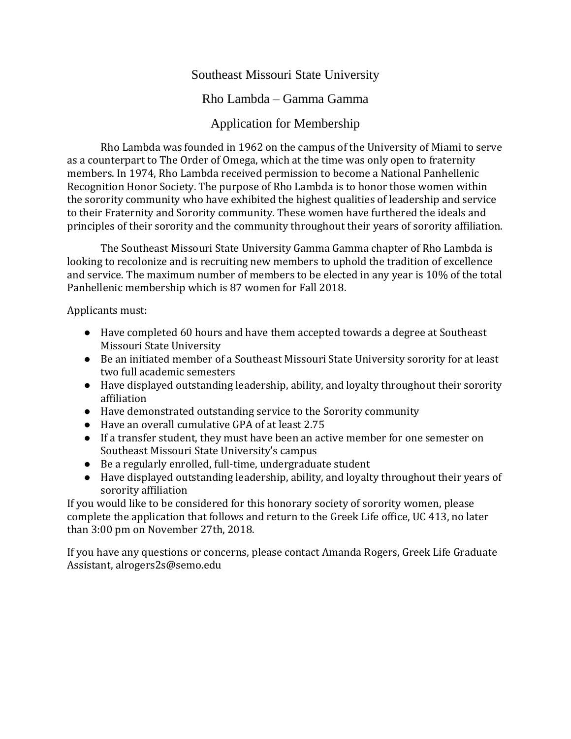## Southeast Missouri State University

## Rho Lambda – Gamma Gamma

## Application for Membership

Rho Lambda was founded in 1962 on the campus of the University of Miami to serve as a counterpart to The Order of Omega, which at the time was only open to fraternity members. In 1974, Rho Lambda received permission to become a National Panhellenic Recognition Honor Society. The purpose of Rho Lambda is to honor those women within the sorority community who have exhibited the highest qualities of leadership and service to their Fraternity and Sorority community. These women have furthered the ideals and principles of their sorority and the community throughout their years of sorority affiliation.

The Southeast Missouri State University Gamma Gamma chapter of Rho Lambda is looking to recolonize and is recruiting new members to uphold the tradition of excellence and service. The maximum number of members to be elected in any year is 10% of the total Panhellenic membership which is 87 women for Fall 2018.

Applicants must:

- Have completed 60 hours and have them accepted towards a degree at Southeast Missouri State University
- Be an initiated member of a Southeast Missouri State University sorority for at least two full academic semesters
- Have displayed outstanding leadership, ability, and loyalty throughout their sorority affiliation
- Have demonstrated outstanding service to the Sorority community
- Have an overall cumulative GPA of at least 2.75
- If a transfer student, they must have been an active member for one semester on Southeast Missouri State University's campus
- Be a regularly enrolled, full-time, undergraduate student
- Have displayed outstanding leadership, ability, and loyalty throughout their years of sorority affiliation

If you would like to be considered for this honorary society of sorority women, please complete the application that follows and return to the Greek Life office, UC 413, no later than 3:00 pm on November 27th, 2018.

If you have any questions or concerns, please contact Amanda Rogers, Greek Life Graduate Assistant, alrogers2s@semo.edu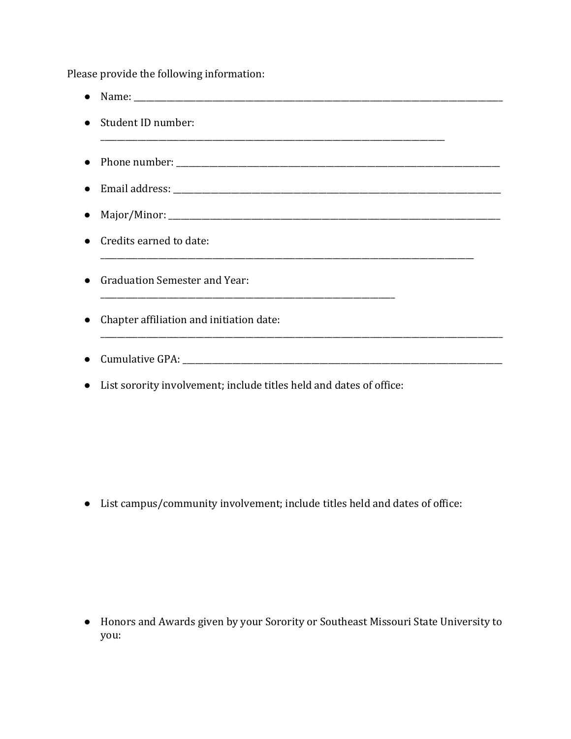Please provide the following information:

- Name: \_\_\_\_\_\_\_\_\_\_\_\_\_\_\_\_\_\_\_\_\_\_\_\_\_\_\_\_\_\_\_\_\_\_\_\_\_\_\_\_\_\_\_\_\_\_\_\_\_\_\_\_\_\_\_\_\_\_\_\_\_\_\_\_\_\_\_\_\_\_\_\_\_\_\_\_\_\_\_\_\_\_\_\_\_\_\_\_\_ ● Student ID number: \_\_\_\_\_\_\_\_\_\_\_\_\_\_\_\_\_\_\_\_\_\_\_\_\_\_\_\_\_\_\_\_\_\_\_\_\_\_\_\_\_\_\_\_\_\_\_\_\_\_\_\_\_\_\_\_\_\_\_\_\_\_\_\_\_\_\_\_\_\_\_\_\_\_\_\_\_\_\_\_\_\_\_ ● Phone number: \_\_\_\_\_\_\_\_\_\_\_\_\_\_\_\_\_\_\_\_\_\_\_\_\_\_\_\_\_\_\_\_\_\_\_\_\_\_\_\_\_\_\_\_\_\_\_\_\_\_\_\_\_\_\_\_\_\_\_\_\_\_\_\_\_\_\_\_\_\_\_\_\_\_\_\_\_\_ ● Email address: \_\_\_\_\_\_\_\_\_\_\_\_\_\_\_\_\_\_\_\_\_\_\_\_\_\_\_\_\_\_\_\_\_\_\_\_\_\_\_\_\_\_\_\_\_\_\_\_\_\_\_\_\_\_\_\_\_\_\_\_\_\_\_\_\_\_\_\_\_\_\_\_\_\_\_\_\_\_\_ ● Major/Minor: \_\_\_\_\_\_\_\_\_\_\_\_\_\_\_\_\_\_\_\_\_\_\_\_\_\_\_\_\_\_\_\_\_\_\_\_\_\_\_\_\_\_\_\_\_\_\_\_\_\_\_\_\_\_\_\_\_\_\_\_\_\_\_\_\_\_\_\_\_\_\_\_\_\_\_\_\_\_\_\_ ● Credits earned to date: ● Graduation Semester and Year: \_\_\_\_\_\_\_\_\_\_\_\_\_\_\_\_\_\_\_\_\_\_\_\_\_\_\_\_\_\_\_\_\_\_\_\_\_\_\_\_\_\_\_\_\_\_\_\_\_\_\_\_\_\_\_\_\_\_\_\_\_\_\_\_\_\_\_\_\_\_\_ ● Chapter affiliation and initiation date: \_\_\_\_\_\_\_\_\_\_\_\_\_\_\_\_\_\_\_\_\_\_\_\_\_\_\_\_\_\_\_\_\_\_\_\_\_\_\_\_\_\_\_\_\_\_\_\_\_\_\_\_\_\_\_\_\_\_\_\_\_\_\_\_\_\_\_\_\_\_\_\_\_\_\_\_\_\_\_\_\_\_\_\_\_\_\_\_\_\_\_\_\_\_\_\_\_  $\bullet$  Cumulative GPA:
- List sorority involvement; include titles held and dates of office:

● List campus/community involvement; include titles held and dates of office:

● Honors and Awards given by your Sorority or Southeast Missouri State University to you: